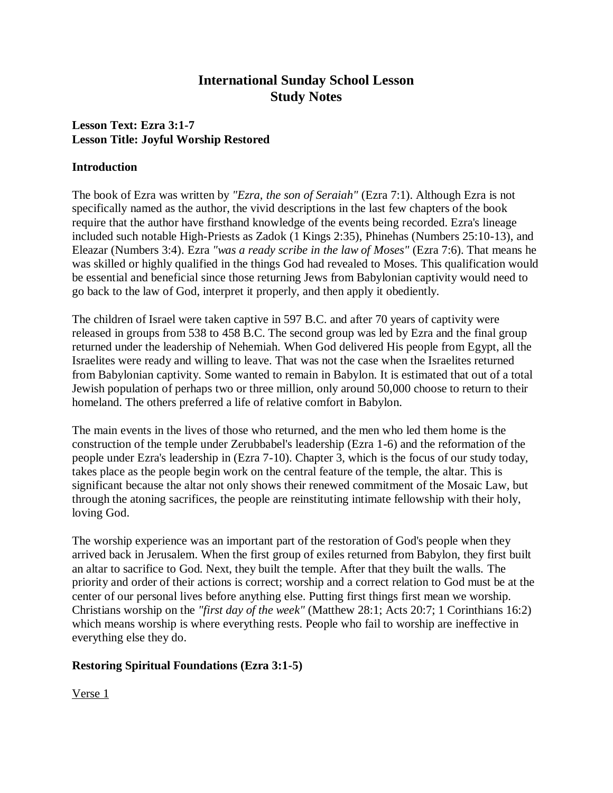# **International Sunday School Lesson Study Notes**

## **Lesson Text: Ezra 3:1-7 Lesson Title: Joyful Worship Restored**

#### **Introduction**

The book of Ezra was written by *"Ezra, the son of Seraiah"* (Ezra 7:1). Although Ezra is not specifically named as the author, the vivid descriptions in the last few chapters of the book require that the author have firsthand knowledge of the events being recorded. Ezra's lineage included such notable High-Priests as Zadok (1 Kings 2:35), Phinehas (Numbers 25:10-13), and Eleazar (Numbers 3:4). Ezra *"was a ready scribe in the law of Moses"* (Ezra 7:6). That means he was skilled or highly qualified in the things God had revealed to Moses. This qualification would be essential and beneficial since those returning Jews from Babylonian captivity would need to go back to the law of God, interpret it properly, and then apply it obediently.

The children of Israel were taken captive in 597 B.C. and after 70 years of captivity were released in groups from 538 to 458 B.C. The second group was led by Ezra and the final group returned under the leadership of Nehemiah. When God delivered His people from Egypt, all the Israelites were ready and willing to leave. That was not the case when the Israelites returned from Babylonian captivity. Some wanted to remain in Babylon. It is estimated that out of a total Jewish population of perhaps two or three million, only around 50,000 choose to return to their homeland. The others preferred a life of relative comfort in Babylon.

The main events in the lives of those who returned, and the men who led them home is the construction of the temple under Zerubbabel's leadership (Ezra 1-6) and the reformation of the people under Ezra's leadership in (Ezra 7-10). Chapter 3, which is the focus of our study today, takes place as the people begin work on the central feature of the temple, the altar. This is significant because the altar not only shows their renewed commitment of the Mosaic Law, but through the atoning sacrifices, the people are reinstituting intimate fellowship with their holy, loving God.

The worship experience was an important part of the restoration of God's people when they arrived back in Jerusalem. When the first group of exiles returned from Babylon, they first built an altar to sacrifice to God. Next, they built the temple. After that they built the walls. The priority and order of their actions is correct; worship and a correct relation to God must be at the center of our personal lives before anything else. Putting first things first mean we worship. Christians worship on the *"first day of the week"* (Matthew 28:1; Acts 20:7; 1 Corinthians 16:2) which means worship is where everything rests. People who fail to worship are ineffective in everything else they do.

## **Restoring Spiritual Foundations (Ezra 3:1-5)**

Verse 1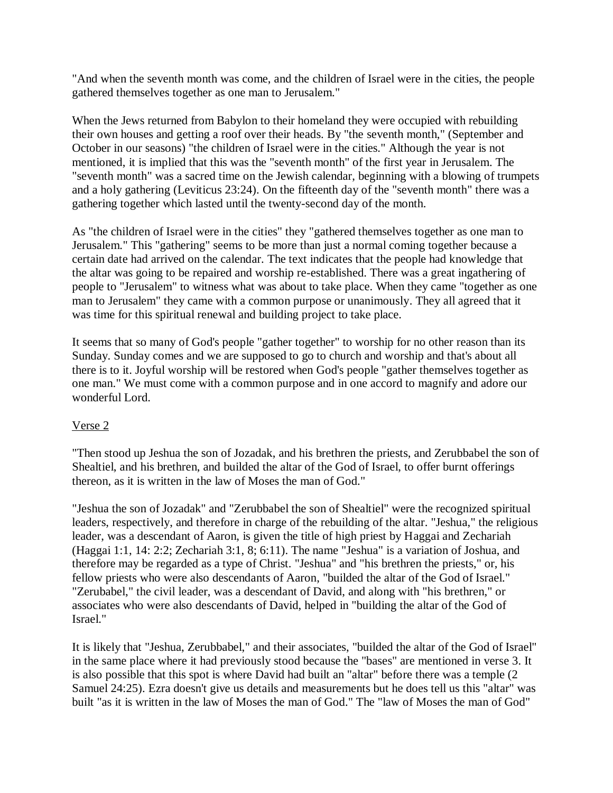"And when the seventh month was come, and the children of Israel were in the cities, the people gathered themselves together as one man to Jerusalem."

When the Jews returned from Babylon to their homeland they were occupied with rebuilding their own houses and getting a roof over their heads. By "the seventh month," (September and October in our seasons) "the children of Israel were in the cities." Although the year is not mentioned, it is implied that this was the "seventh month" of the first year in Jerusalem. The "seventh month" was a sacred time on the Jewish calendar, beginning with a blowing of trumpets and a holy gathering (Leviticus 23:24). On the fifteenth day of the "seventh month" there was a gathering together which lasted until the twenty-second day of the month.

As "the children of Israel were in the cities" they "gathered themselves together as one man to Jerusalem." This "gathering" seems to be more than just a normal coming together because a certain date had arrived on the calendar. The text indicates that the people had knowledge that the altar was going to be repaired and worship re-established. There was a great ingathering of people to "Jerusalem" to witness what was about to take place. When they came "together as one man to Jerusalem" they came with a common purpose or unanimously. They all agreed that it was time for this spiritual renewal and building project to take place.

It seems that so many of God's people "gather together" to worship for no other reason than its Sunday. Sunday comes and we are supposed to go to church and worship and that's about all there is to it. Joyful worship will be restored when God's people "gather themselves together as one man." We must come with a common purpose and in one accord to magnify and adore our wonderful Lord.

## Verse 2

"Then stood up Jeshua the son of Jozadak, and his brethren the priests, and Zerubbabel the son of Shealtiel, and his brethren, and builded the altar of the God of Israel, to offer burnt offerings thereon, as it is written in the law of Moses the man of God."

"Jeshua the son of Jozadak" and "Zerubbabel the son of Shealtiel" were the recognized spiritual leaders, respectively, and therefore in charge of the rebuilding of the altar. "Jeshua," the religious leader, was a descendant of Aaron, is given the title of high priest by Haggai and Zechariah (Haggai 1:1, 14: 2:2; Zechariah 3:1, 8; 6:11). The name "Jeshua" is a variation of Joshua, and therefore may be regarded as a type of Christ. "Jeshua" and "his brethren the priests," or, his fellow priests who were also descendants of Aaron, "builded the altar of the God of Israel." "Zerubabel," the civil leader, was a descendant of David, and along with "his brethren," or associates who were also descendants of David, helped in "building the altar of the God of Israel."

It is likely that "Jeshua, Zerubbabel," and their associates, "builded the altar of the God of Israel" in the same place where it had previously stood because the "bases" are mentioned in verse 3. It is also possible that this spot is where David had built an "altar" before there was a temple (2 Samuel 24:25). Ezra doesn't give us details and measurements but he does tell us this "altar" was built "as it is written in the law of Moses the man of God." The "law of Moses the man of God"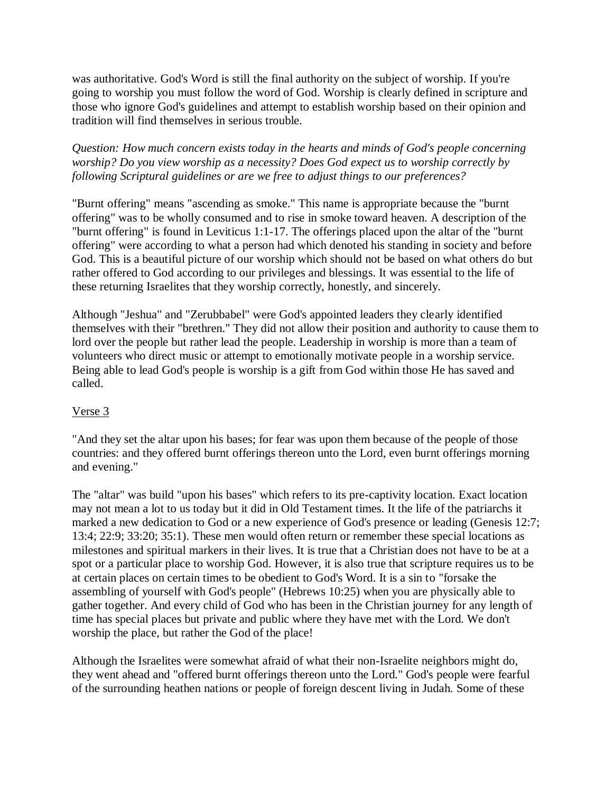was authoritative. God's Word is still the final authority on the subject of worship. If you're going to worship you must follow the word of God. Worship is clearly defined in scripture and those who ignore God's guidelines and attempt to establish worship based on their opinion and tradition will find themselves in serious trouble.

*Question: How much concern exists today in the hearts and minds of God's people concerning worship? Do you view worship as a necessity? Does God expect us to worship correctly by following Scriptural guidelines or are we free to adjust things to our preferences?*

"Burnt offering" means "ascending as smoke." This name is appropriate because the "burnt offering" was to be wholly consumed and to rise in smoke toward heaven. A description of the "burnt offering" is found in Leviticus 1:1-17. The offerings placed upon the altar of the "burnt offering" were according to what a person had which denoted his standing in society and before God. This is a beautiful picture of our worship which should not be based on what others do but rather offered to God according to our privileges and blessings. It was essential to the life of these returning Israelites that they worship correctly, honestly, and sincerely.

Although "Jeshua" and "Zerubbabel" were God's appointed leaders they clearly identified themselves with their "brethren." They did not allow their position and authority to cause them to lord over the people but rather lead the people. Leadership in worship is more than a team of volunteers who direct music or attempt to emotionally motivate people in a worship service. Being able to lead God's people is worship is a gift from God within those He has saved and called.

## Verse 3

"And they set the altar upon his bases; for fear was upon them because of the people of those countries: and they offered burnt offerings thereon unto the Lord, even burnt offerings morning and evening."

The "altar" was build "upon his bases" which refers to its pre-captivity location. Exact location may not mean a lot to us today but it did in Old Testament times. It the life of the patriarchs it marked a new dedication to God or a new experience of God's presence or leading (Genesis 12:7; 13:4; 22:9; 33:20; 35:1). These men would often return or remember these special locations as milestones and spiritual markers in their lives. It is true that a Christian does not have to be at a spot or a particular place to worship God. However, it is also true that scripture requires us to be at certain places on certain times to be obedient to God's Word. It is a sin to "forsake the assembling of yourself with God's people" (Hebrews 10:25) when you are physically able to gather together. And every child of God who has been in the Christian journey for any length of time has special places but private and public where they have met with the Lord. We don't worship the place, but rather the God of the place!

Although the Israelites were somewhat afraid of what their non-Israelite neighbors might do, they went ahead and "offered burnt offerings thereon unto the Lord." God's people were fearful of the surrounding heathen nations or people of foreign descent living in Judah. Some of these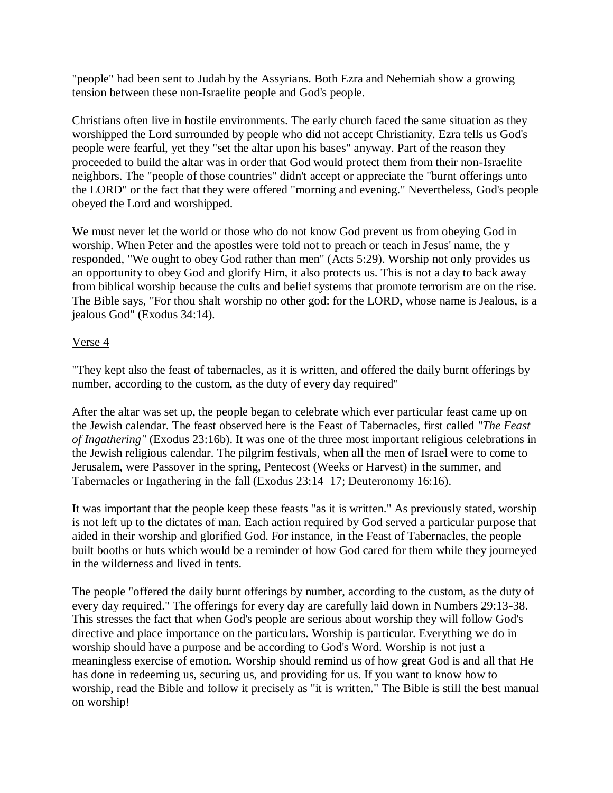"people" had been sent to Judah by the Assyrians. Both Ezra and Nehemiah show a growing tension between these non-Israelite people and God's people.

Christians often live in hostile environments. The early church faced the same situation as they worshipped the Lord surrounded by people who did not accept Christianity. Ezra tells us God's people were fearful, yet they "set the altar upon his bases" anyway. Part of the reason they proceeded to build the altar was in order that God would protect them from their non-Israelite neighbors. The "people of those countries" didn't accept or appreciate the "burnt offerings unto the LORD" or the fact that they were offered "morning and evening." Nevertheless, God's people obeyed the Lord and worshipped.

We must never let the world or those who do not know God prevent us from obeying God in worship. When Peter and the apostles were told not to preach or teach in Jesus' name, the y responded, "We ought to obey God rather than men" (Acts 5:29). Worship not only provides us an opportunity to obey God and glorify Him, it also protects us. This is not a day to back away from biblical worship because the cults and belief systems that promote terrorism are on the rise. The Bible says, "For thou shalt worship no other god: for the LORD, whose name is Jealous, is a jealous God" (Exodus 34:14).

#### Verse 4

"They kept also the feast of tabernacles, as it is written, and offered the daily burnt offerings by number, according to the custom, as the duty of every day required"

After the altar was set up, the people began to celebrate which ever particular feast came up on the Jewish calendar. The feast observed here is the Feast of Tabernacles, first called *"The Feast of Ingathering"* (Exodus 23:16b). It was one of the three most important religious celebrations in the Jewish religious calendar. The pilgrim festivals, when all the men of Israel were to come to Jerusalem, were Passover in the spring, Pentecost (Weeks or Harvest) in the summer, and Tabernacles or Ingathering in the fall (Exodus 23:14–17; Deuteronomy 16:16).

It was important that the people keep these feasts "as it is written." As previously stated, worship is not left up to the dictates of man. Each action required by God served a particular purpose that aided in their worship and glorified God. For instance, in the Feast of Tabernacles, the people built booths or huts which would be a reminder of how God cared for them while they journeyed in the wilderness and lived in tents.

The people "offered the daily burnt offerings by number, according to the custom, as the duty of every day required." The offerings for every day are carefully laid down in Numbers 29:13-38. This stresses the fact that when God's people are serious about worship they will follow God's directive and place importance on the particulars. Worship is particular. Everything we do in worship should have a purpose and be according to God's Word. Worship is not just a meaningless exercise of emotion. Worship should remind us of how great God is and all that He has done in redeeming us, securing us, and providing for us. If you want to know how to worship, read the Bible and follow it precisely as "it is written." The Bible is still the best manual on worship!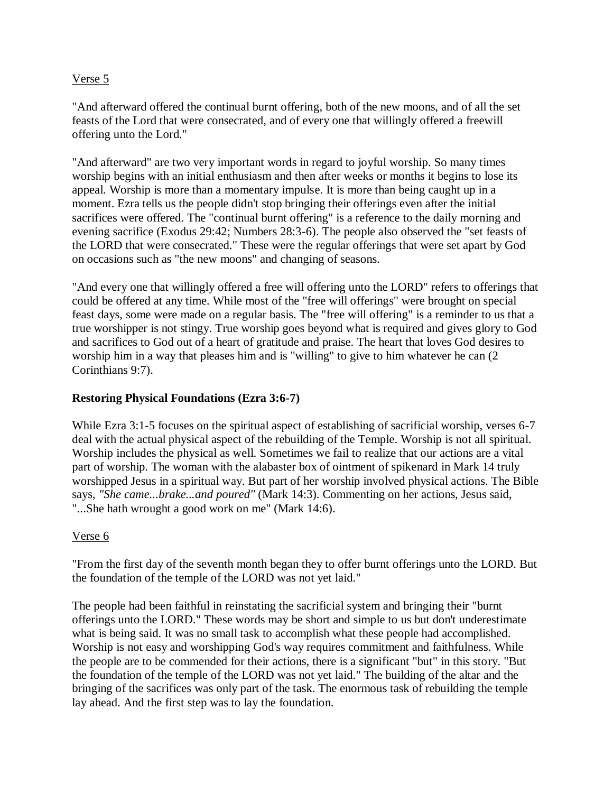#### Verse 5

"And afterward offered the continual burnt offering, both of the new moons, and of all the set feasts of the Lord that were consecrated, and of every one that willingly offered a freewill offering unto the Lord."

"And afterward" are two very important words in regard to joyful worship. So many times worship begins with an initial enthusiasm and then after weeks or months it begins to lose its appeal. Worship is more than a momentary impulse. It is more than being caught up in a moment. Ezra tells us the people didn't stop bringing their offerings even after the initial sacrifices were offered. The "continual burnt offering" is a reference to the daily morning and evening sacrifice (Exodus 29:42; Numbers 28:3-6). The people also observed the "set feasts of the LORD that were consecrated." These were the regular offerings that were set apart by God on occasions such as "the new moons" and changing of seasons.

"And every one that willingly offered a free will offering unto the LORD" refers to offerings that could be offered at any time. While most of the "free will offerings" were brought on special feast days, some were made on a regular basis. The "free will offering" is a reminder to us that a true worshipper is not stingy. True worship goes beyond what is required and gives glory to God and sacrifices to God out of a heart of gratitude and praise. The heart that loves God desires to worship him in a way that pleases him and is "willing" to give to him whatever he can (2 Corinthians 9:7).

## **Restoring Physical Foundations (Ezra 3:6-7)**

While Ezra 3:1-5 focuses on the spiritual aspect of establishing of sacrificial worship, verses 6-7 deal with the actual physical aspect of the rebuilding of the Temple. Worship is not all spiritual. Worship includes the physical as well. Sometimes we fail to realize that our actions are a vital part of worship. The woman with the alabaster box of ointment of spikenard in Mark 14 truly worshipped Jesus in a spiritual way. But part of her worship involved physical actions. The Bible says, *"She came...brake...and poured"* (Mark 14:3). Commenting on her actions, Jesus said, "...She hath wrought a good work on me" (Mark 14:6).

## Verse 6

"From the first day of the seventh month began they to offer burnt offerings unto the LORD. But the foundation of the temple of the LORD was not yet laid."

The people had been faithful in reinstating the sacrificial system and bringing their "burnt offerings unto the LORD." These words may be short and simple to us but don't underestimate what is being said. It was no small task to accomplish what these people had accomplished. Worship is not easy and worshipping God's way requires commitment and faithfulness. While the people are to be commended for their actions, there is a significant "but" in this story. "But the foundation of the temple of the LORD was not yet laid." The building of the altar and the bringing of the sacrifices was only part of the task. The enormous task of rebuilding the temple lay ahead. And the first step was to lay the foundation.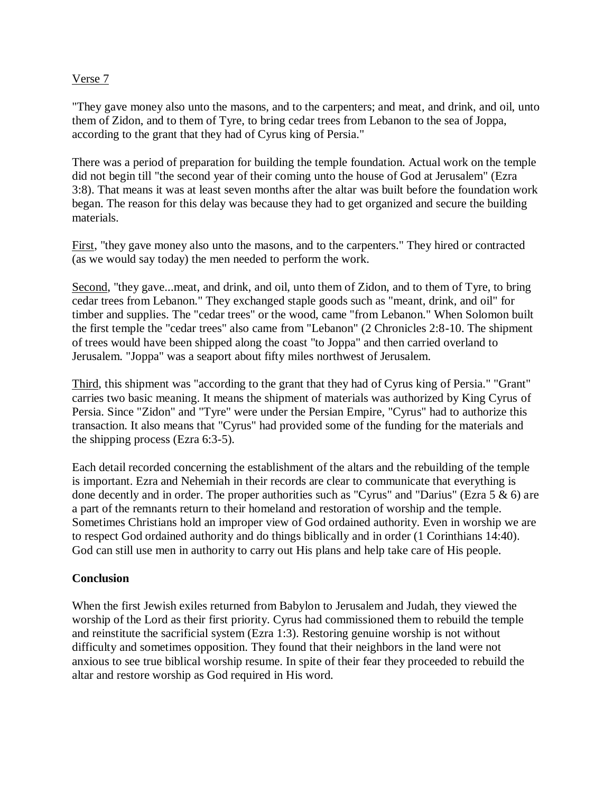#### Verse 7

"They gave money also unto the masons, and to the carpenters; and meat, and drink, and oil, unto them of Zidon, and to them of Tyre, to bring cedar trees from Lebanon to the sea of Joppa, according to the grant that they had of Cyrus king of Persia."

There was a period of preparation for building the temple foundation. Actual work on the temple did not begin till "the second year of their coming unto the house of God at Jerusalem" (Ezra 3:8). That means it was at least seven months after the altar was built before the foundation work began. The reason for this delay was because they had to get organized and secure the building materials.

First, "they gave money also unto the masons, and to the carpenters." They hired or contracted (as we would say today) the men needed to perform the work.

Second, "they gave...meat, and drink, and oil, unto them of Zidon, and to them of Tyre, to bring cedar trees from Lebanon." They exchanged staple goods such as "meant, drink, and oil" for timber and supplies. The "cedar trees" or the wood, came "from Lebanon." When Solomon built the first temple the "cedar trees" also came from "Lebanon" (2 Chronicles 2:8-10. The shipment of trees would have been shipped along the coast "to Joppa" and then carried overland to Jerusalem. "Joppa" was a seaport about fifty miles northwest of Jerusalem.

Third, this shipment was "according to the grant that they had of Cyrus king of Persia." "Grant" carries two basic meaning. It means the shipment of materials was authorized by King Cyrus of Persia. Since "Zidon" and "Tyre" were under the Persian Empire, "Cyrus" had to authorize this transaction. It also means that "Cyrus" had provided some of the funding for the materials and the shipping process (Ezra 6:3-5).

Each detail recorded concerning the establishment of the altars and the rebuilding of the temple is important. Ezra and Nehemiah in their records are clear to communicate that everything is done decently and in order. The proper authorities such as "Cyrus" and "Darius" (Ezra 5 & 6) are a part of the remnants return to their homeland and restoration of worship and the temple. Sometimes Christians hold an improper view of God ordained authority. Even in worship we are to respect God ordained authority and do things biblically and in order (1 Corinthians 14:40). God can still use men in authority to carry out His plans and help take care of His people.

## **Conclusion**

When the first Jewish exiles returned from Babylon to Jerusalem and Judah, they viewed the worship of the Lord as their first priority. Cyrus had commissioned them to rebuild the temple and reinstitute the sacrificial system (Ezra 1:3). Restoring genuine worship is not without difficulty and sometimes opposition. They found that their neighbors in the land were not anxious to see true biblical worship resume. In spite of their fear they proceeded to rebuild the altar and restore worship as God required in His word.